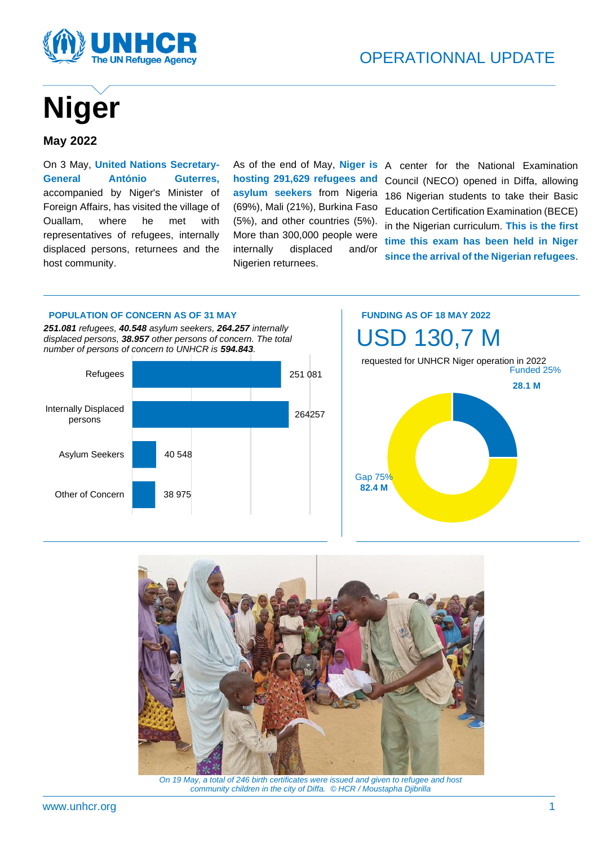

# **Niger**

#### **May 2022**

On 3 May, **United Nations Secretary-General António Guterres,** accompanied by Niger's Minister of Foreign Affairs, has visited the village of Ouallam, where he met with representatives of refugees, internally displaced persons, returnees and the host community.

As of the end of May, **Niger is hosting 291,629 refugees and asylum seekers** from Nigeria (69%), Mali (21%), Burkina Faso (5%), and other countries (5%). More than 300,000 people were internally displaced and/or Nigerien returnees.

A center for the National Examination Council (NECO) opened in Diffa, allowing 186 Nigerian students to take their Basic Education Certification Examination (BECE) in the Nigerian curriculum. **This is the first time this exam has been held in Niger since the arrival of the Nigerian refugees**.

#### **POPULATION OF CONCERN AS OF 31 MAY**

*251.081 refugees, 40.548 asylum seekers, 264.257 internally displaced persons, 38.957 other persons of concern. The total number of persons of concern to UNHCR is 594.843.*



# USD 130,7 M requested for UNHCR Niger operation in 2022  **28.1 <sup>M</sup>** Gap 75% **82.4 M**

**FUNDING AS OF 18 MAY 2022**



*On 19 May, a total of 246 birth certificates were issued and given to refugee and host community children in the city of Diffa. © HCR / Moustapha Djibrilla*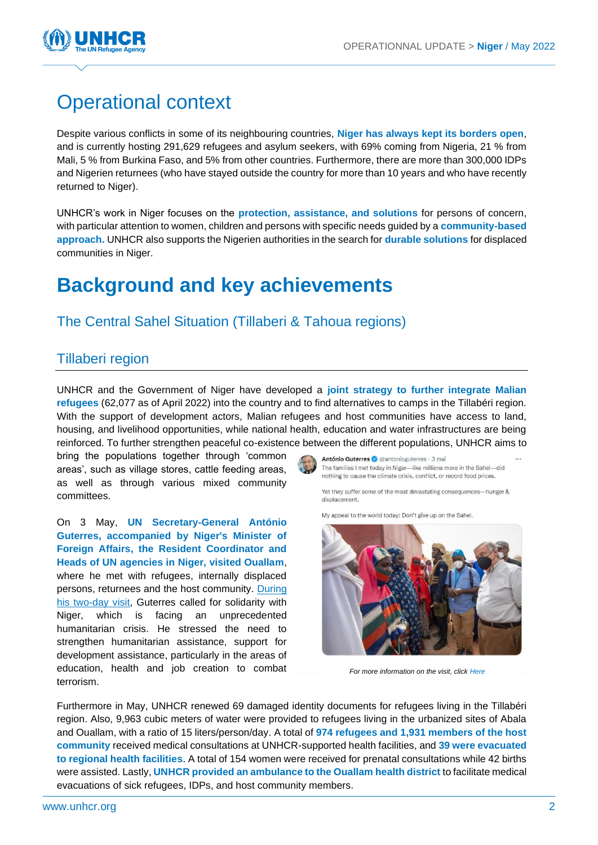

# Operational context

Despite various conflicts in some of its neighbouring countries, **Niger has always kept its borders open**, and is currently hosting 291,629 refugees and asylum seekers, with 69% coming from Nigeria, 21 % from Mali, 5 % from Burkina Faso, and 5% from other countries. Furthermore, there are more than 300,000 IDPs and Nigerien returnees (who have stayed outside the country for more than 10 years and who have recently returned to Niger).

UNHCR's work in Niger focuses on the **protection, assistance, and solutions** for persons of concern, with particular attention to women, children and persons with specific needs guided by a **community-based approach.** UNHCR also supports the Nigerien authorities in the search for **durable solutions** for displaced communities in Niger.

## **Background and key achievements**

## The Central Sahel Situation (Tillaberi & Tahoua regions)

#### Tillaberi region

UNHCR and the Government of Niger have developed a **joint strategy to further integrate Malian refugees** (62,077 as of April 2022) into the country and to find alternatives to camps in the Tillabéri region. With the support of development actors, Malian refugees and host communities have access to land, housing, and livelihood opportunities, while national health, education and water infrastructures are being reinforced. To further strengthen peaceful co-existence between the different populations, UNHCR aims to

bring the populations together through 'common areas', such as village stores, cattle feeding areas, as well as through various mixed community committees.

On 3 May, **UN Secretary-General António Guterres, accompanied by Niger's Minister of Foreign Affairs, the Resident Coordinator and Heads of UN agencies in Niger, visited Ouallam**, where he met with refugees, internally displaced persons, returnees and the host community. [During](https://unocha.exposure.co/we-must-support-niger)  [his two-day visit,](https://unocha.exposure.co/we-must-support-niger) Guterres called for solidarity with Niger, which is facing an unprecedented humanitarian crisis. He stressed the need to strengthen humanitarian assistance, support for development assistance, particularly in the areas of education, health and job creation to combat terrorism.

António Guterres @ @antonioguterres · 3 mai The families I met today in Niger-like millions more in the Sahel-did nothing to cause the climate crisis, conflict, or record food prices.

Yet they suffer some of the most devastating consequences-hunger & displacement.

My appeal to the world today: Don't give up on the Sahel.



*For more information on the visit, click [Here](https://twitter.com/antonioguterres/status/1521500649753649153/photo/1)*

Furthermore in May, UNHCR renewed 69 damaged identity documents for refugees living in the Tillabéri region. Also, 9,963 cubic meters of water were provided to refugees living in the urbanized sites of Abala and Ouallam, with a ratio of 15 liters/person/day. A total of **974 refugees and 1,931 members of the host community** received medical consultations at UNHCR-supported health facilities, and **39 were evacuated to regional health facilities**. A total of 154 women were received for prenatal consultations while 42 births were assisted. Lastly, **UNHCR provided an ambulance to the Ouallam health district** to facilitate medical evacuations of sick refugees, IDPs, and host community members.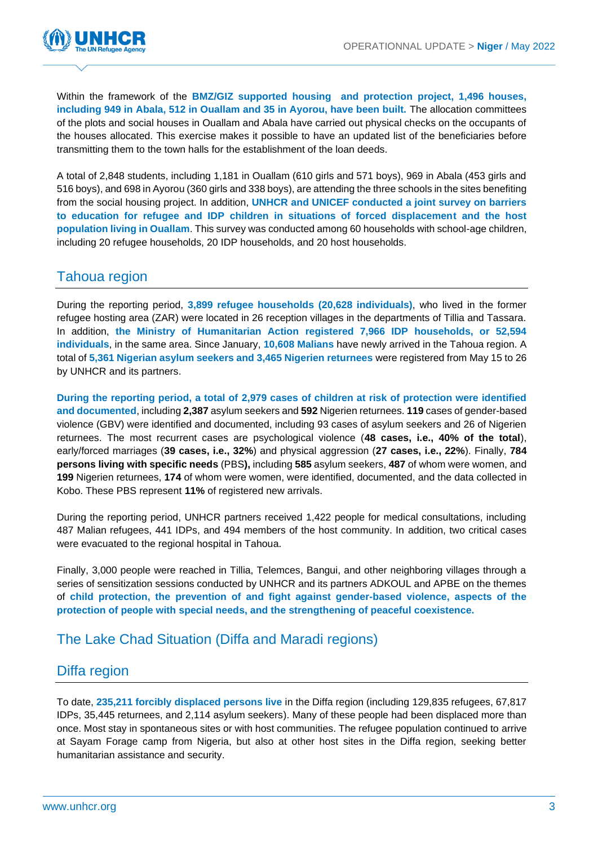

Within the framework of the **BMZ/GIZ supported housing and protection project, 1,496 houses, including 949 in Abala, 512 in Ouallam and 35 in Ayorou, have been built.** The allocation committees of the plots and social houses in Ouallam and Abala have carried out physical checks on the occupants of the houses allocated. This exercise makes it possible to have an updated list of the beneficiaries before transmitting them to the town halls for the establishment of the loan deeds.

A total of 2,848 students, including 1,181 in Ouallam (610 girls and 571 boys), 969 in Abala (453 girls and 516 boys), and 698 in Ayorou (360 girls and 338 boys), are attending the three schools in the sites benefiting from the social housing project. In addition, **UNHCR and UNICEF conducted a joint survey on barriers to education for refugee and IDP children in situations of forced displacement and the host population living in Ouallam**. This survey was conducted among 60 households with school-age children, including 20 refugee households, 20 IDP households, and 20 host households.

### Tahoua region

During the reporting period, **3,899 refugee households (20,628 individuals)**, who lived in the former refugee hosting area (ZAR) were located in 26 reception villages in the departments of Tillia and Tassara. In addition, **the Ministry of Humanitarian Action registered 7,966 IDP households, or 52,594 individuals**, in the same area. Since January, **10,608 Malians** have newly arrived in the Tahoua region. A total of **5,361 Nigerian asylum seekers and 3,465 Nigerien returnees** were registered from May 15 to 26 by UNHCR and its partners.

**During the reporting period, a total of 2,979 cases of children at risk of protection were identified and documented**, including **2,387** asylum seekers and **592** Nigerien returnees. **119** cases of gender-based violence (GBV) were identified and documented, including 93 cases of asylum seekers and 26 of Nigerien returnees. The most recurrent cases are psychological violence (**48 cases, i.e., 40% of the total**), early/forced marriages (**39 cases, i.e., 32%**) and physical aggression (**27 cases, i.e., 22%**). Finally, **784 persons living with specific needs** (PBS**),** including **585** asylum seekers, **487** of whom were women, and **199** Nigerien returnees, **174** of whom were women, were identified, documented, and the data collected in Kobo. These PBS represent **11%** of registered new arrivals.

During the reporting period, UNHCR partners received 1,422 people for medical consultations, including 487 Malian refugees, 441 IDPs, and 494 members of the host community. In addition, two critical cases were evacuated to the regional hospital in Tahoua.

Finally, 3,000 people were reached in Tillia, Telemces, Bangui, and other neighboring villages through a series of sensitization sessions conducted by UNHCR and its partners ADKOUL and APBE on the themes of **child protection, the prevention of and fight against gender-based violence, aspects of the protection of people with special needs, and the strengthening of peaceful coexistence.**

### The Lake Chad Situation (Diffa and Maradi regions)

#### Diffa region

To date, **235,211 forcibly displaced persons live** in the Diffa region (including 129,835 refugees, 67,817 IDPs, 35,445 returnees, and 2,114 asylum seekers). Many of these people had been displaced more than once. Most stay in spontaneous sites or with host communities. The refugee population continued to arrive at Sayam Forage camp from Nigeria, but also at other host sites in the Diffa region, seeking better humanitarian assistance and security.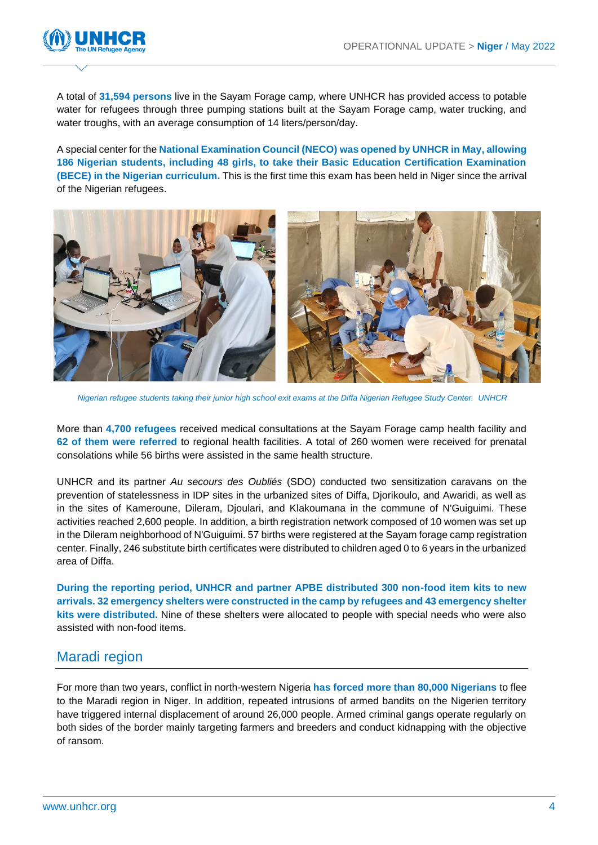

A total of **31,594 persons** live in the Sayam Forage camp, where UNHCR has provided access to potable water for refugees through three pumping stations built at the Sayam Forage camp, water trucking, and water troughs, with an average consumption of 14 liters/person/day.

A special center for the **National Examination Council (NECO) was opened by UNHCR in May, allowing 186 Nigerian students, including 48 girls, to take their Basic Education Certification Examination (BECE) in the Nigerian curriculum.** This is the first time this exam has been held in Niger since the arrival of the Nigerian refugees.



*Nigerian refugee students taking their junior high school exit exams at the Diffa Nigerian Refugee Study Center. UNHCR*

More than **4,700 refugees** received medical consultations at the Sayam Forage camp health facility and **62 of them were referred** to regional health facilities. A total of 260 women were received for prenatal consolations while 56 births were assisted in the same health structure.

UNHCR and its partner *Au secours des Oubliés* (SDO) conducted two sensitization caravans on the prevention of statelessness in IDP sites in the urbanized sites of Diffa, Djorikoulo, and Awaridi, as well as in the sites of Kameroune, Dileram, Djoulari, and Klakoumana in the commune of N'Guiguimi. These activities reached 2,600 people. In addition, a birth registration network composed of 10 women was set up in the Dileram neighborhood of N'Guiguimi. 57 births were registered at the Sayam forage camp registration center. Finally, 246 substitute birth certificates were distributed to children aged 0 to 6 years in the urbanized area of Diffa.

**During the reporting period, UNHCR and partner APBE distributed 300 non-food item kits to new arrivals. 32 emergency shelters were constructed in the camp by refugees and 43 emergency shelter kits were distributed.** Nine of these shelters were allocated to people with special needs who were also assisted with non-food items.

#### Maradi region

For more than two years, conflict in north-western Nigeria **has forced more than 80,000 Nigerians** to flee to the Maradi region in Niger. In addition, repeated intrusions of armed bandits on the Nigerien territory have triggered internal displacement of around 26,000 people. Armed criminal gangs operate regularly on both sides of the border mainly targeting farmers and breeders and conduct kidnapping with the objective of ransom.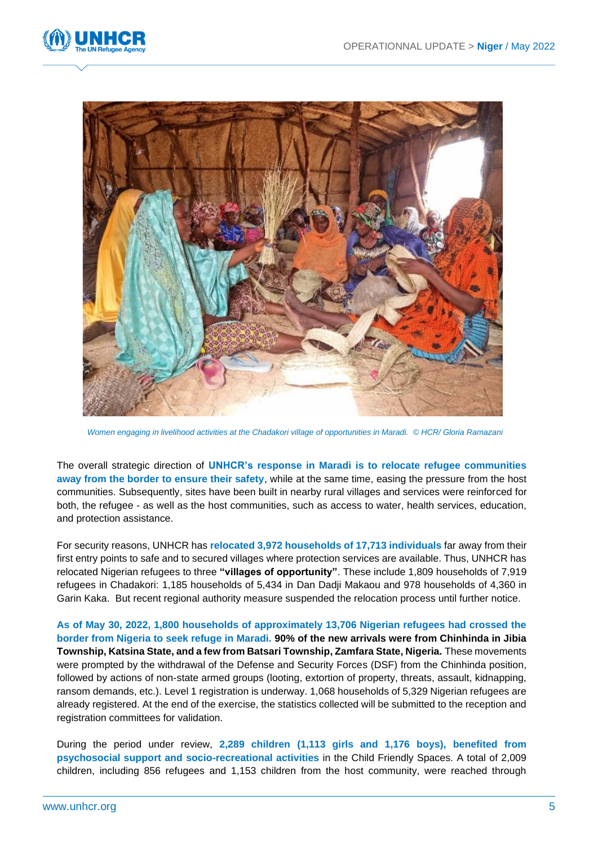



*Women engaging in livelihood activities at the Chadakori village of opportunities in Maradi. © HCR/ Gloria Ramazani*

The overall strategic direction of **UNHCR's response in Maradi is to relocate refugee communities away from the border to ensure their safety**, while at the same time, easing the pressure from the host communities. Subsequently, sites have been built in nearby rural villages and services were reinforced for both, the refugee - as well as the host communities, such as access to water, health services, education, and protection assistance.

For security reasons, UNHCR has **relocated 3,972 households of 17,713 individuals** far away from their first entry points to safe and to secured villages where protection services are available. Thus, UNHCR has relocated Nigerian refugees to three **"villages of opportunity"**. These include 1,809 households of 7,919 refugees in Chadakori: 1,185 households of 5,434 in Dan Dadji Makaou and 978 households of 4,360 in Garin Kaka. But recent regional authority measure suspended the relocation process until further notice.

**As of May 30, 2022, 1,800 households of approximately 13,706 Nigerian refugees had crossed the border from Nigeria to seek refuge in Maradi. 90% of the new arrivals were from Chinhinda in Jibia Township, Katsina State, and a few from Batsari Township, Zamfara State, Nigeria.** These movements were prompted by the withdrawal of the Defense and Security Forces (DSF) from the Chinhinda position, followed by actions of non-state armed groups (looting, extortion of property, threats, assault, kidnapping, ransom demands, etc.). Level 1 registration is underway. 1,068 households of 5,329 Nigerian refugees are already registered. At the end of the exercise, the statistics collected will be submitted to the reception and registration committees for validation.

During the period under review, **2,289 children (1,113 girls and 1,176 boys), benefited from psychosocial support and socio-recreational activities** in the Child Friendly Spaces. A total of 2,009 children, including 856 refugees and 1,153 children from the host community, were reached through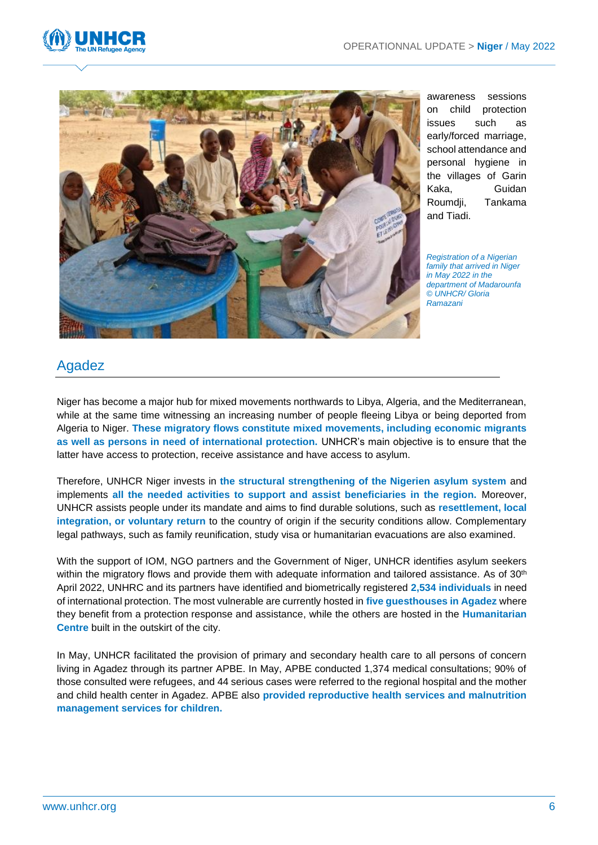



awareness sessions on child protection issues such as early/forced marriage, school attendance and personal hygiene in the villages of Garin Kaka, Guidan Roumdji, Tankama and Tiadi.

*Registration of a Nigerian family that arrived in Niger in May 2022 in the department of Madarounfa © UNHCR/ Gloria Ramazani*

## Agadez

Niger has become a major hub for mixed movements northwards to Libya, Algeria, and the Mediterranean, while at the same time witnessing an increasing number of people fleeing Libya or being deported from Algeria to Niger. **These migratory flows constitute mixed movements, including economic migrants as well as persons in need of international protection.** UNHCR's main objective is to ensure that the latter have access to protection, receive assistance and have access to asylum.

Therefore, UNHCR Niger invests in **the structural strengthening of the Nigerien asylum system** and implements **all the needed activities to support and assist beneficiaries in the region.** Moreover, UNHCR assists people under its mandate and aims to find durable solutions, such as **resettlement, local integration, or voluntary return** to the country of origin if the security conditions allow. Complementary legal pathways, such as family reunification, study visa or humanitarian evacuations are also examined.

With the support of IOM, NGO partners and the Government of Niger, UNHCR identifies asylum seekers within the migratory flows and provide them with adequate information and tailored assistance. As of 30<sup>th</sup> April 2022, UNHRC and its partners have identified and biometrically registered **2,534 individuals** in need of international protection. The most vulnerable are currently hosted in **five guesthouses in Agadez** where they benefit from a protection response and assistance, while the others are hosted in the **Humanitarian Centre** built in the outskirt of the city.

In May, UNHCR facilitated the provision of primary and secondary health care to all persons of concern living in Agadez through its partner APBE. In May, APBE conducted 1,374 medical consultations; 90% of those consulted were refugees, and 44 serious cases were referred to the regional hospital and the mother and child health center in Agadez. APBE also **provided reproductive health services and malnutrition management services for children.**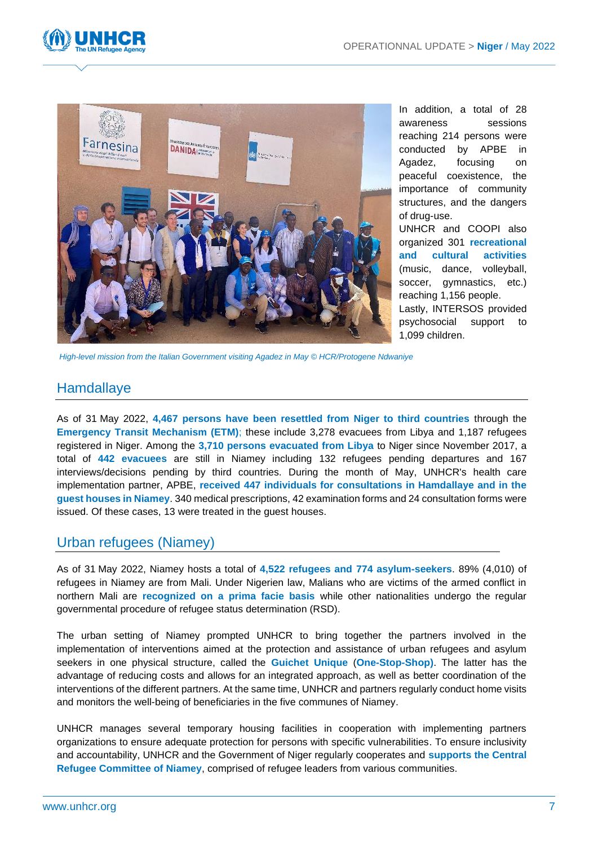



In addition, a total of 28 awareness sessions reaching 214 persons were conducted by APBE in Agadez, focusing on peaceful coexistence, the importance of community structures, and the dangers of drug-use. UNHCR and COOPI also

organized 301 **recreational and cultural activities** (music, dance, volleyball, soccer, gymnastics, etc.) reaching 1,156 people. Lastly, INTERSOS provided psychosocial support to 1,099 children.

*High-level mission from the Italian Government visiting Agadez in May © HCR/Protogene Ndwaniye*

#### Hamdallaye

As of 31 May 2022, **4,467 persons have been resettled from Niger to third countries** through the **Emergency Transit Mechanism (ETM)**; these include 3,278 evacuees from Libya and 1,187 refugees registered in Niger. Among the **3,710 persons evacuated from Libya** to Niger since November 2017, a total of **442 evacuees** are still in Niamey including 132 refugees pending departures and 167 interviews/decisions pending by third countries. During the month of May, UNHCR's health care implementation partner, APBE, **received 447 individuals for consultations in Hamdallaye and in the guest houses in Niamey**. 340 medical prescriptions, 42 examination forms and 24 consultation forms were issued. Of these cases, 13 were treated in the guest houses.

#### Urban refugees (Niamey)

As of 31 May 2022, Niamey hosts a total of **4,522 refugees and 774 asylum-seekers**. 89% (4,010) of refugees in Niamey are from Mali. Under Nigerien law, Malians who are victims of the armed conflict in northern Mali are **recognized on a prima facie basis** while other nationalities undergo the regular governmental procedure of refugee status determination (RSD).

The urban setting of Niamey prompted UNHCR to bring together the partners involved in the implementation of interventions aimed at the protection and assistance of urban refugees and asylum seekers in one physical structure, called the **Guichet Unique** (**One-Stop-Shop)**. The latter has the advantage of reducing costs and allows for an integrated approach, as well as better coordination of the interventions of the different partners. At the same time, UNHCR and partners regularly conduct home visits and monitors the well-being of beneficiaries in the five communes of Niamey.

UNHCR manages several temporary housing facilities in cooperation with implementing partners organizations to ensure adequate protection for persons with specific vulnerabilities. To ensure inclusivity and accountability, UNHCR and the Government of Niger regularly cooperates and **supports the Central Refugee Committee of Niamey**, comprised of refugee leaders from various communities.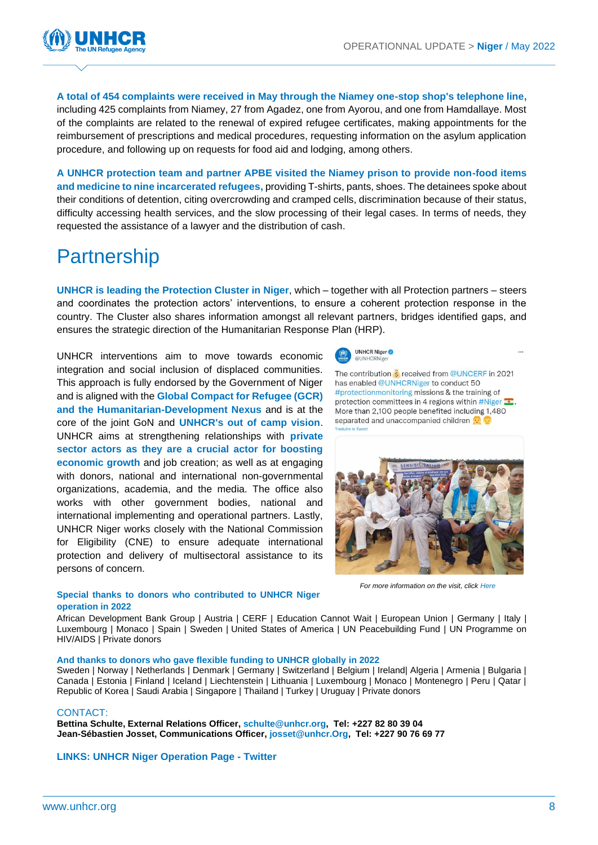

**A total of 454 complaints were received in May through the Niamey one-stop shop's telephone line,**  including 425 complaints from Niamey, 27 from Agadez, one from Ayorou, and one from Hamdallaye. Most of the complaints are related to the renewal of expired refugee certificates, making appointments for the reimbursement of prescriptions and medical procedures, requesting information on the asylum application procedure, and following up on requests for food aid and lodging, among others.

**A UNHCR protection team and partner APBE visited the Niamey prison to provide non-food items and medicine to nine incarcerated refugees,** providing T-shirts, pants, shoes. The detainees spoke about their conditions of detention, citing overcrowding and cramped cells, discrimination because of their status, difficulty accessing health services, and the slow processing of their legal cases. In terms of needs, they requested the assistance of a lawyer and the distribution of cash.

# **Partnership**

**UNHCR is leading the Protection Cluster in Niger**, which – together with all Protection partners – steers and coordinates the protection actors' interventions, to ensure a coherent protection response in the country. The Cluster also shares information amongst all relevant partners, bridges identified gaps, and ensures the strategic direction of the Humanitarian Response Plan (HRP).

UNHCR interventions aim to move towards economic integration and social inclusion of displaced communities. This approach is fully endorsed by the Government of Niger and is aligned with the **Global Compact for Refugee (GCR) and the Humanitarian-Development Nexus** and is at the core of the joint GoN and **UNHCR's out of camp vision**. UNHCR aims at strengthening relationships with **private sector actors as they are a crucial actor for boosting economic growth** and job creation; as well as at engaging with donors, national and international non-governmental organizations, academia, and the media. The office also works with other government bodies, national and international implementing and operational partners. Lastly, UNHCR Niger works closely with the National Commission for Eligibility (CNE) to ensure adequate international protection and delivery of multisectoral assistance to its persons of concern.



The contribution S received from @UNCERF in 2021 has enabled @UNHCRNiger to conduct 50 #protectionmonitoring missions & the training of protection committees in 4 regions within #Niger •. More than 2,100 people benefited including 1,480 separated and unaccompanied children



*For more information on the visit, clic[k Here](https://twitter.com/UNHCRNiger/status/1527697465624911873)*

#### **Special thanks to donors who contributed to UNHCR Niger operation in 2022**

African Development Bank Group | Austria | CERF | Education Cannot Wait | European Union | Germany | Italy | Luxembourg | Monaco | Spain | Sweden | United States of America | UN Peacebuilding Fund | UN Programme on HIV/AIDS | Private donors

#### **And thanks to donors who gave flexible funding to UNHCR globally in 2022**

Sweden | Norway | Netherlands | Denmark | Germany | Switzerland | Belgium | Ireland| Algeria | Armenia | Bulgaria | Canada | Estonia | Finland | Iceland | Liechtenstein | Lithuania | Luxembourg | Monaco | Montenegro | Peru | Qatar | Republic of Korea | Saudi Arabia | Singapore | Thailand | Turkey | Uruguay | Private donors

#### CONTACT:

**Bettina Schulte, External Relations Officer, [schulte@unhcr.org,](mailto:schulte@unhcr.org) Tel: +227 82 80 39 04 Jean-Sébastien Josset, Communications Officer, [josset@unhcr.Org,](mailto:josset@unhcr.Org) Tel: +227 90 76 69 77**

**[LINKS: UNHCR Niger Operation Page](https://data.unhcr.org/fr/documents/details/93790) - [Twitter](https://twitter.com/unhcrniger?lang=fr)**